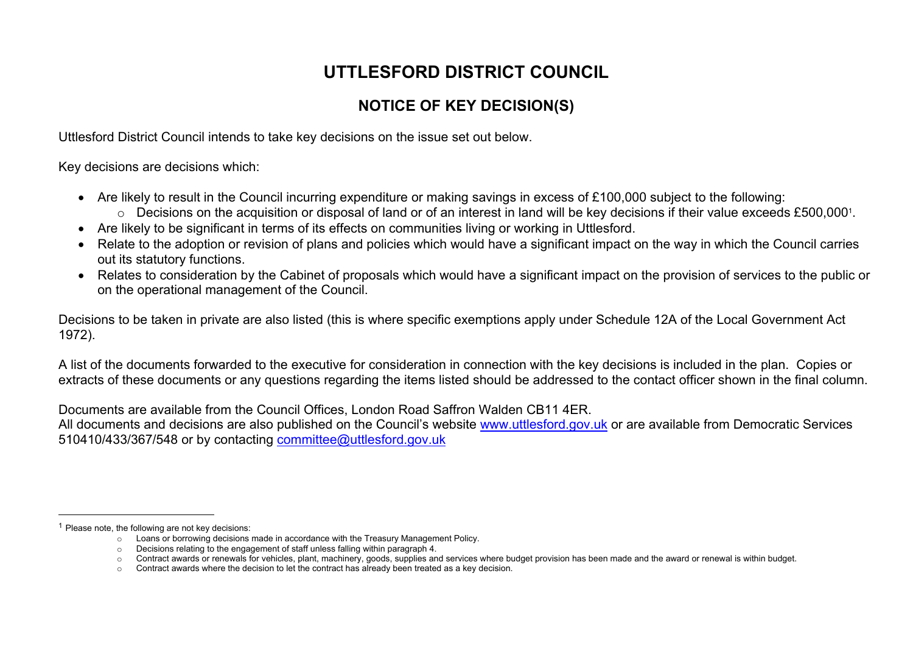## **UTTLESFORD DISTRICT COUNCIL**

## **NOTICE OF KEY DECISION(S)**

Uttlesford District Council intends to take key decisions on the issue set out below.

Key decisions are decisions which:

- Are likely to result in the Council incurring expenditure or making savings in excess of £100,000 subject to the following:
	- $\circ$  Decisions on the acquisition or disposal of land or of an interest in land will be key decisions if their value exceeds £500,0001.
- Are likely to be significant in terms of its effects on communities living or working in Uttlesford.
- Relate to the adoption or revision of plans and policies which would have a significant impact on the way in which the Council carries out its statutory functions.
- Relates to consideration by the Cabinet of proposals which would have a significant impact on the provision of services to the public or on the operational management of the Council.

Decisions to be taken in private are also listed (this is where specific exemptions apply under Schedule 12A of the Local Government Act 1972).

A list of the documents forwarded to the executive for consideration in connection with the key decisions is included in the plan. Copies or extracts of these documents or any questions regarding the items listed should be addressed to the contact officer shown in the final column.

Documents are available from the Council Offices, London Road Saffron Walden CB11 4ER.

All documents and decisions are also published on the Council's website [www.uttlesford.gov.uk](http://www.uttlesford.gov.uk/) or are available from Democratic Services 510410/433/367/548 or by contacting [committee@uttlesford.gov.uk](mailto:committee@uttlesford.gov.uk)

 $1$  Please note, the following are not key decisions:

o Loans or borrowing decisions made in accordance with the Treasury Management Policy.

 $\circ$  Decisions relating to the engagement of staff unless falling within paragraph 4.

o Contract awards or renewals for vehicles, plant, machinery, goods, supplies and services where budget provision has been made and the award or renewal is within budget.

 $\circ$  Contract awards where the decision to let the contract has already been treated as a key decision.